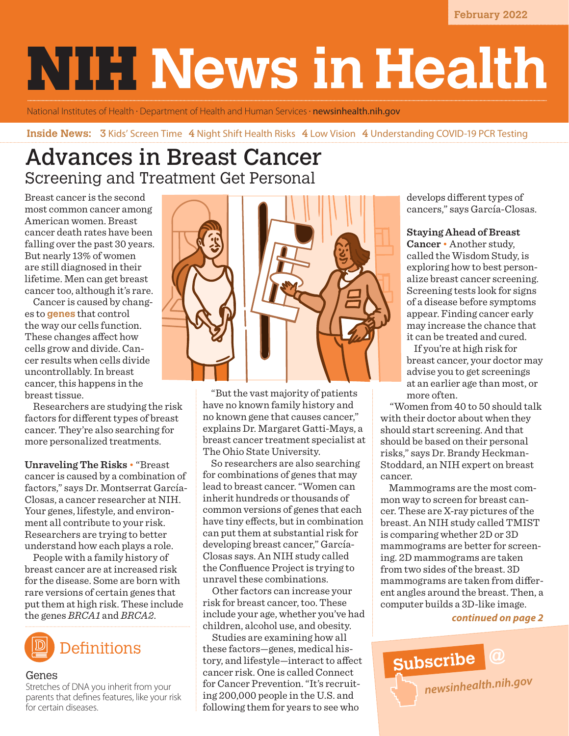**February 2022**

# **NIFINews in Health**

National Institutes of Health • Department of Health and Human Services • **[newsinhealth.nih.gov](https://newsinhealth.nih.gov)** 

#### **Inside News: 3** Kids' Screen Time 4 Night Shift Health Risks 4 Low Vision 4 Understanding COVID-19 PCR Testing

# Advances in Breast Cancer Screening and Treatment Get Personal

Breast cancer is the second most common cancer among American women. Breast cancer death rates have been falling over the past 30 years. But nearly 13% of women are still diagnosed in their lifetime. Men can get breast cancer too, although it's rare.

Cancer is caused by changes to **genes** that control the way our cells function. These changes affect how cells grow and divide. Cancer results when cells divide uncontrollably. In breast cancer, this happens in the breast tissue.

Researchers are studying the risk factors for different types of breast cancer. They're also searching for more personalized treatments.

**Unraveling The Risks** • "Breast cancer is caused by a combination of factors," says Dr. Montserrat García-Closas, a cancer researcher at NIH. Your genes, lifestyle, and environment all contribute to your risk. Researchers are trying to better understand how each plays a role.

People with a family history of breast cancer are at increased risk for the disease. Some are born with rare versions of certain genes that put them at high risk. These include the genes *BRCA1* and *BRCA2*.



#### Genes

Stretches of DNA you inherit from your parents that defines features, like your risk for certain diseases.



"But the vast majority of patients have no known family history and no known gene that causes cancer," explains Dr. Margaret Gatti-Mays, a breast cancer treatment specialist at The Ohio State University.

So researchers are also searching for combinations of genes that may lead to breast cancer. "Women can inherit hundreds or thousands of common versions of genes that each have tiny effects, but in combination can put them at substantial risk for developing breast cancer," García-Closas says. An NIH study called the [Confluence Project](https://dceg.cancer.gov/research/cancer-types/breast-cancer/confluence-project) is trying to unravel these combinations.

 Other factors can increase your risk for breast cancer, too. These include your age, whether you've had children, alcohol use, and obesity.

 Studies are examining how all these factors—genes, medical history, and lifestyle—interact to affect cancer risk. One is called [Connect](https://dceg.cancer.gov/research/who-we-study/cohorts/connect)  [for Cancer Prevention](https://dceg.cancer.gov/research/who-we-study/cohorts/connect). "It's recruiting 200,000 people in the U.S. and following them for years to see who

develops different types of cancers," says García-Closas.

#### **Staying Ahead of Breast**

**Cancer** • Another study, called the [Wisdom Study,](https://www.thewisdomstudy.org/learn-more/) is exploring how to best personalize breast cancer screening. Screening tests look for signs of a disease before symptoms appear. Finding cancer early may increase the chance that it can be treated and cured.

If you're at high risk for breast cancer, your doctor may advise you to get screenings at an earlier age than most, or more often.

 "Women from 40 to 50 should talk with their doctor about when they should start screening. And that should be based on their personal risks," says Dr. Brandy Heckman-Stoddard, an NIH expert on breast cancer.

Mammograms are the most common way to screen for breast cancer. These are X-ray pictures of the breast. An NIH study called [TMIST](https://www.cancer.gov/about-cancer/treatment/clinical-trials/nci-supported/tmist) is comparing whether 2D or 3D mammograms are better for screening. 2D mammograms are taken from two sides of the breast. 3D mammograms are taken from different angles around the breast. Then, a computer builds a 3D-like image.

#### *continued on page 2*

**Subscribe @** *[newsinhealth.nih.gov](https://newsinhealth.nih.gov)*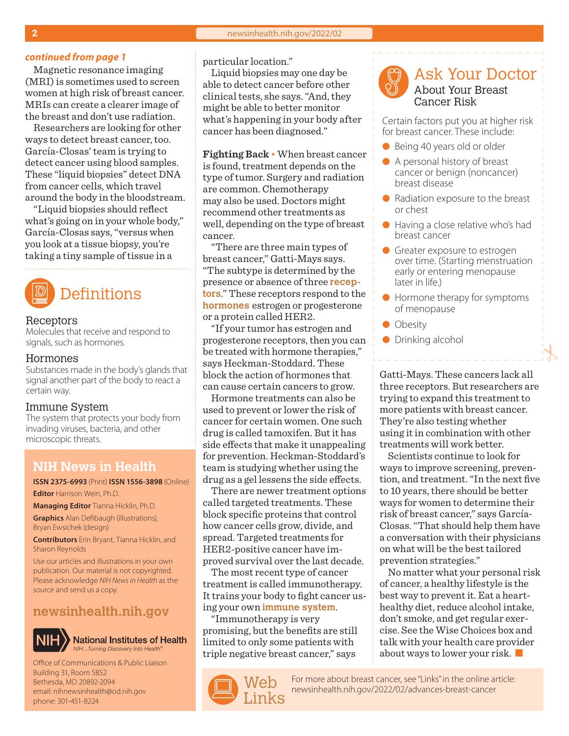#### **continued from page 1** particular location."

Magnetic resonance imaging (MRI) is sometimes used to screen women at high risk of breast cancer. MRIs can create a clearer image of the breast and don't use radiation.

Researchers are looking for other ways to detect breast cancer, too. García-Closas' team is trying to detect cancer using blood samples. These "liquid biopsies" detect DNA from cancer cells, which travel around the body in the bloodstream.

"Liquid biopsies should reflect what's going on in your whole body," García-Closas says, "versus when you look at a tissue biopsy, you're taking a tiny sample of tissue in a

# **Definitions**

#### Receptors

Molecules that receive and respond to signals, such as hormones.

#### Hormones

Substances made in the body's glands that signal another part of the body to react a certain way.

#### Immune System

The system that protects your body from invading viruses, bacteria, and other microscopic threats.

#### **NIH News in Health**

**ISSN 2375-6993** (Print) **ISSN 1556-3898** (Online) **Editor** Harrison Wein, Ph.D.

**Managing Editor** Tianna Hicklin, Ph.D. **Graphics** Alan Defibaugh (illustrations),

Bryan Ewsichek (design) **Contributors** Erin Bryant, Tianna Hicklin, and Sharon Reynolds

Use our articles and illustrations in your own publication. Our material is not copyrighted. Please acknowledge *NIH News in Health* as the source and send us a copy.

#### **[newsinhealth.nih.gov](https://newsinhealth.nih.gov)**



**National Institutes of Health** *NIH…Turning Discovery Into Health®*

Office of Communications & Public Liaison Building 31, Room 5B52 Bethesda, MD 20892-2094 email: nihnewsinhealth@od.nih.gov phone: 301-451-8224

Liquid biopsies may one day be able to detect cancer before other clinical tests, she says. "And, they might be able to better monitor what's happening in your body after cancer has been diagnosed."

**Fighting Back** • When breast cancer is found, treatment depends on the type of tumor. Surgery and radiation are common. Chemotherapy may also be used. Doctors might recommend other treatments as well, depending on the type of breast cancer.

"There are three main types of breast cancer," Gatti-Mays says. "The subtype is determined by the presence or absence of three **receptors**." These receptors respond to the **hormones** estrogen or progesterone or a protein called HER2.

"If your tumor has estrogen and progesterone receptors, then you can be treated with hormone therapies," says Heckman-Stoddard. These block the action of hormones that can cause certain cancers to grow.

Hormone treatments can also be used to prevent or lower the risk of cancer for certain women. One such drug is called tamoxifen. But it has side effects that make it unappealing for prevention. Heckman-Stoddard's team is studying whether using the drug as a gel lessens the side effects.

There are newer treatment options called targeted treatments. These block specific proteins that control how cancer cells grow, divide, and spread. Targeted treatments for HER2-positive cancer have improved survival over the last decade.

The most recent type of cancer treatment is called immunotherapy. It trains your body to fight cancer using your own **immune system**.

"Immunotherapy is very promising, but the benefits are still limited to only some patients with triple negative breast cancer," says





Certain factors put you at higher risk for breast cancer. These include:

- Being 40 years old or older
- A personal history of breast cancer or benign (noncancer) breast disease
- $\bullet$  Radiation exposure to the breast or chest
- $\bullet$  Having a close relative who's had breast cancer
- **Greater exposure to estrogen** over time. (Starting menstruation early or entering menopause later in life.)
- $\bullet$  Hormone therapy for symptoms of menopause
- Obesity
- **•** Drinking alcohol

Gatti-Mays. These cancers lack all three receptors. But researchers are trying to expand this treatment to more patients with breast cancer. They're also testing whether using it in combination with other treatments will work better.

Scientists continue to look for ways to improve screening, prevention, and treatment. "In the next five to 10 years, there should be better ways for women to determine their risk of breast cancer," says García-Closas. "That should help them have a conversation with their physicians on what will be the best tailored prevention strategies."

No matter what your personal risk of cancer, a healthy lifestyle is the best way to prevent it. Eat a hearthealthy diet, reduce alcohol intake, don't smoke, and get regular exercise. See the Wise Choices box and talk with your health care provider about ways to lower your risk.  $\blacksquare$ 

For more about breast cancer, see "Links" in the online article:<br>[newsinhealth.nih.gov/2022/02/](https://newsinhealth.nih.gov/2022/02/advances-breast-cancer)advances-breast-cancer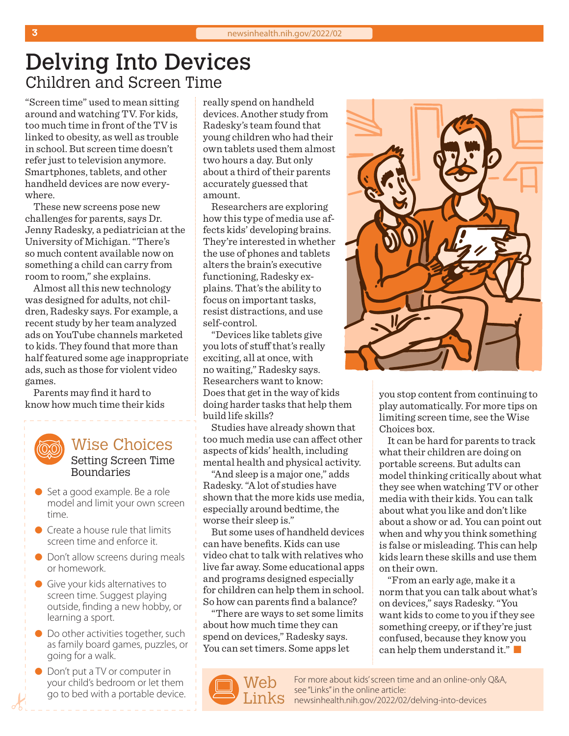# Delving Into Devices Children and Screen Time

"Screen time" used to mean sitting around and watching TV. For kids, too much time in front of the TV is linked to obesity, as well as trouble in school. But screen time doesn't refer just to television anymore. Smartphones, tablets, and other handheld devices are now everywhere.

These new screens pose new challenges for parents, says Dr. Jenny Radesky, a pediatrician at the University of Michigan. "There's so much content available now on something a child can carry from room to room," she explains.

Almost all this new technology was designed for adults, not children, Radesky says. For example, a recent study by her team analyzed ads on YouTube channels marketed to kids. They found that more than half featured some age inappropriate ads, such as those for violent video games.

Parents may find it hard to know how much time their kids

#### Wise Choices Setting Screen Time Boundaries

- Set a good example. Be a role model and limit your own screen time.
- $\bullet$  Create a house rule that limits screen time and enforce it.
- **IDON't allow screens during meals** or homework.
- **Give your kids alternatives to** screen time. Suggest playing outside, finding a new hobby, or learning a sport.
- **ID** Do other activities together, such as family board games, puzzles, or going for a walk.
- Don't put a TV or computer in your child's bedroom or let them go to bed with a portable device.

really spend on handheld devices. Another study from Radesky's team found that young children who had their own tablets used them almost two hours a day. But only about a third of their parents accurately guessed that amount.

Researchers are exploring how this type of media use affects kids' developing brains. They're interested in whether the use of phones and tablets alters the brain's executive functioning, Radesky explains. That's the ability to focus on important tasks, resist distractions, and use self-control.

"Devices like tablets give you lots of stuff that's really exciting, all at once, with no waiting," Radesky says. Researchers want to know: Does that get in the way of kids doing harder tasks that help them build life skills?

Studies have already shown that too much media use can affect other aspects of kids' health, including mental health and physical activity.

"And sleep is a major one," adds Radesky. "A lot of studies have shown that the more kids use media, especially around bedtime, the worse their sleep is."

But some uses of handheld devices can have benefits. Kids can use video chat to talk with relatives who live far away. Some educational apps and programs designed especially for children can help them in school. So how can parents find a balance?

"There are ways to set some limits about how much time they can spend on devices," Radesky says. You can set timers. Some apps let





you stop content from continuing to play automatically. For more tips on limiting screen time, see the Wise Choices box.

It can be hard for parents to track what their children are doing on portable screens. But adults can model thinking critically about what they see when watching TV or other media with their kids. You can talk about what you like and don't like about a show or ad. You can point out when and why you think something is false or misleading. This can help kids learn these skills and use them on their own.

"From an early age, make it a norm that you can talk about what's on devices," says Radesky. "You want kids to come to you if they see something creepy, or if they're just confused, because they know you can help them understand it."

For more about kids' screen time and an online-only Q&A, see "Links" in the online article: [newsinhealth.nih.gov/20](https://newsinhealth.nih.gov/2022/02/delving-into-devices)22/02/delving-into-devices